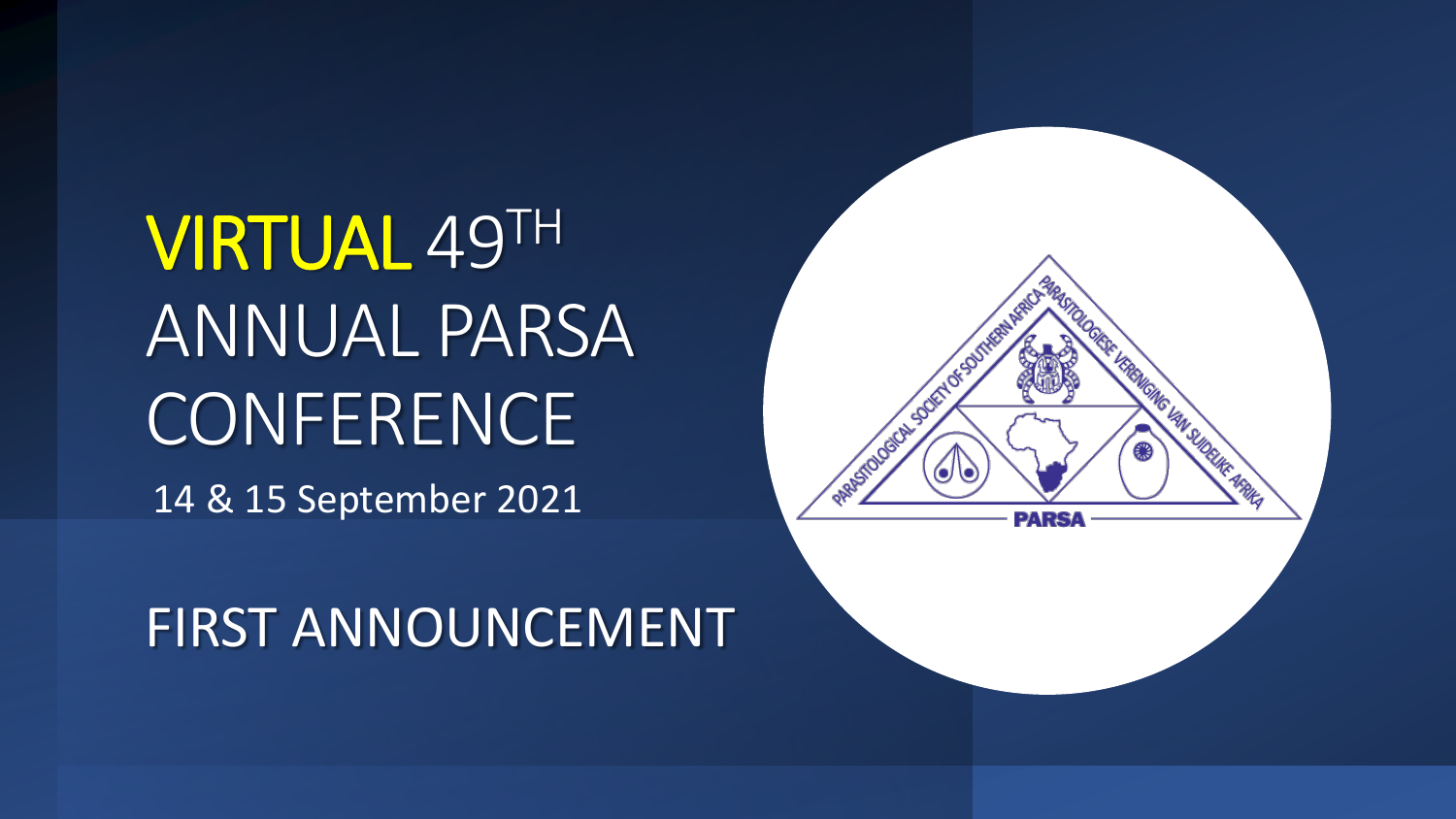VIRTUAL 49TH ANNUAL PARSA **CONFERENCE** 14 & 15 September 2021

FIRST ANNOUNCEMENT

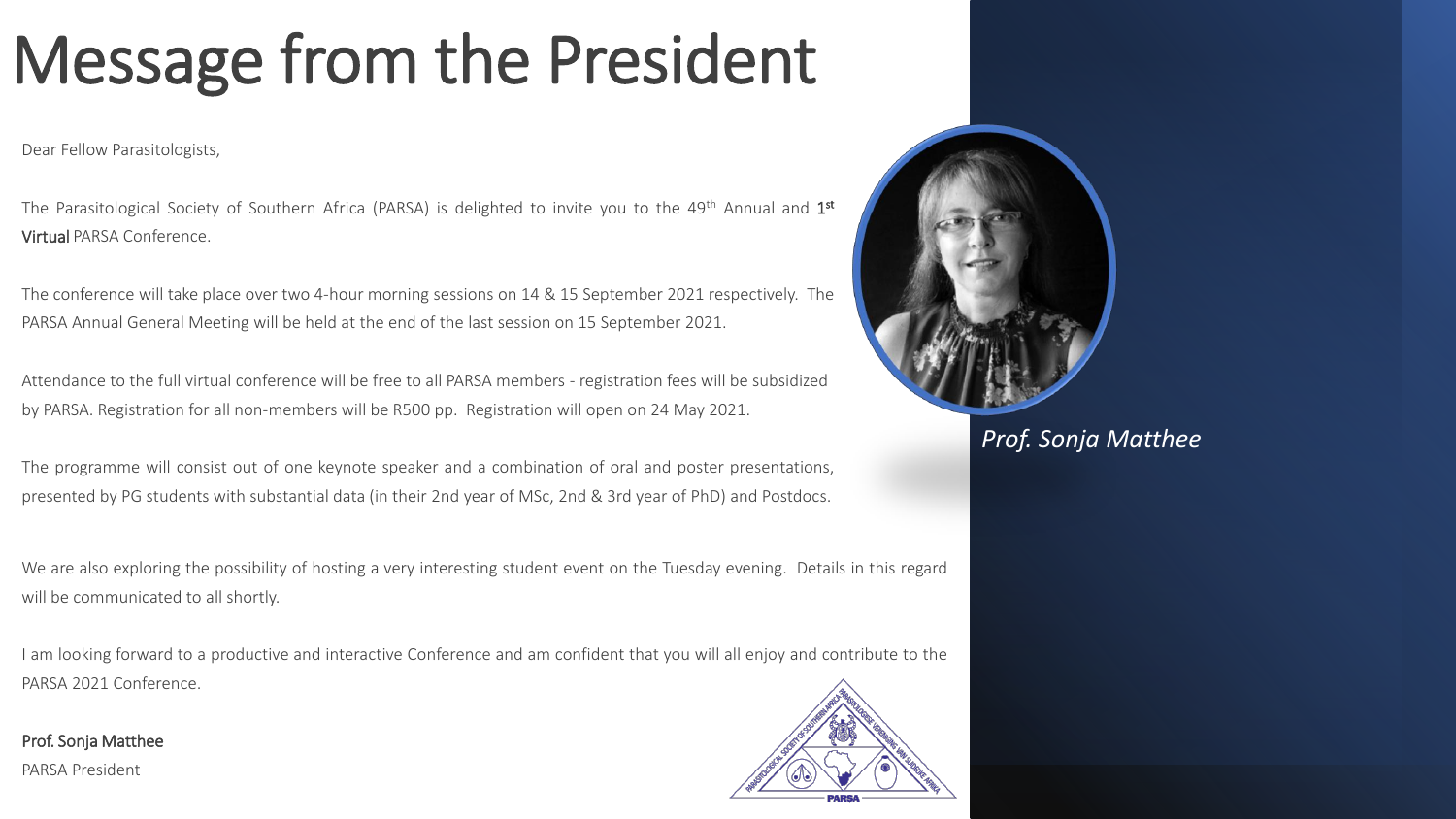# Message from the President

Dear Fellow Parasitologists,

The Parasitological Society of Southern Africa (PARSA) is delighted to invite you to the 49<sup>th</sup> Annual and 1st Virtual PARSA Conference.

The conference will take place over two 4-hour morning sessions on 14 & 15 September 2021 respectively. The PARSA Annual General Meeting will be held at the end of the last session on 15 September 2021.

Attendance to the full virtual conference will be free to all PARSA members - registration fees will be subsidized by PARSA. Registration for all non-members will be R500 pp. Registration will open on 24 May 2021.

The programme will consist out of one keynote speaker and a combination of oral and poster presentations, presented by PG students with substantial data (in their 2nd year of MSc, 2nd & 3rd year of PhD) and Postdocs.

We are also exploring the possibility of hosting a very interesting student event on the Tuesday evening. Details in this regard will be communicated to all shortly.

I am looking forward to a productive and interactive Conference and am confident that you will all enjoy and contribute to the PARSA 2021 Conference.

Prof. Sonja Matthee PARSA President





*Prof. Sonja Matthee*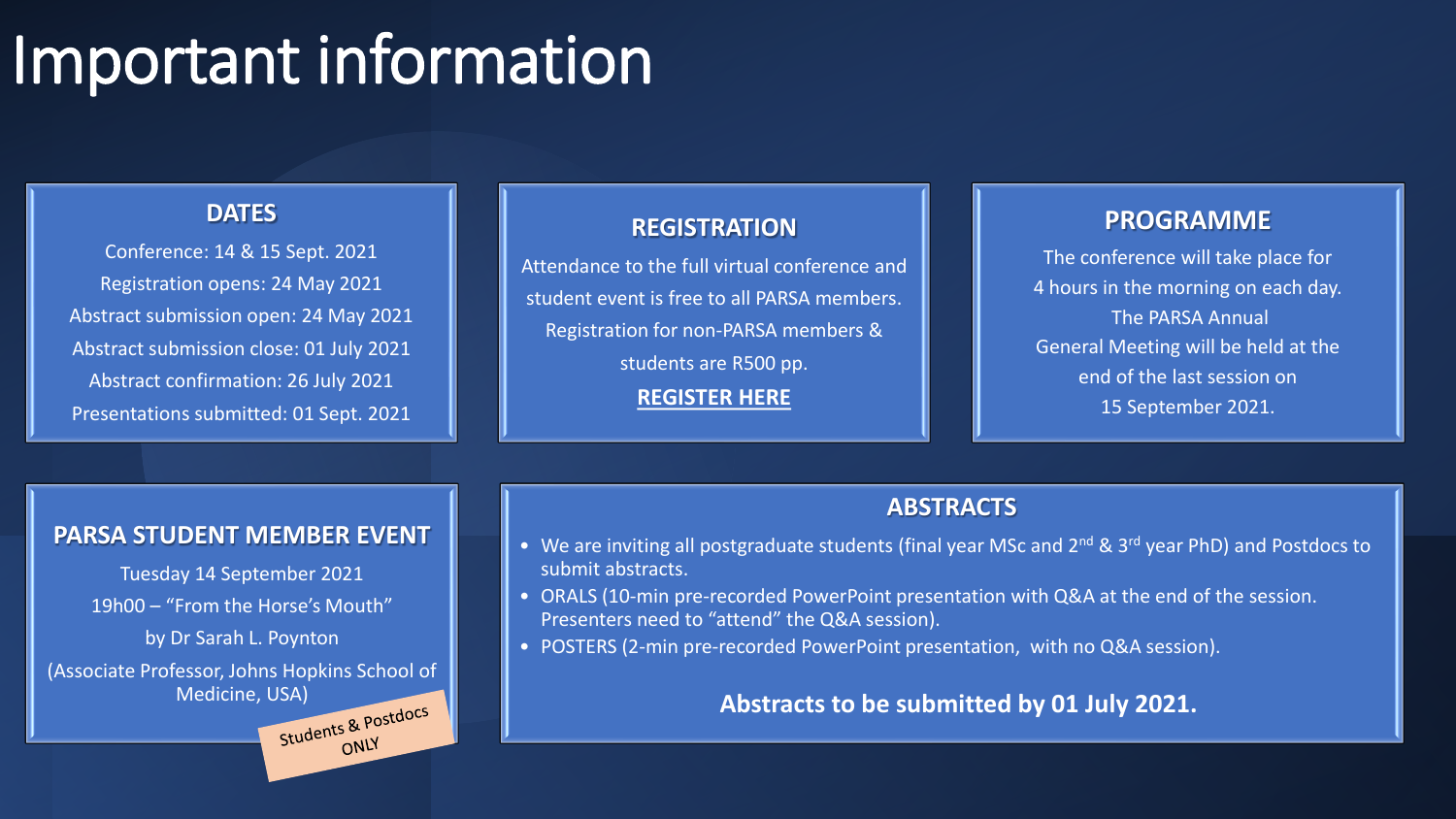## Important information

### **DATES**

Conference: 14 & 15 Sept. 2021 Registration opens: 24 May 2021 Abstract submission open: 24 May 2021 Abstract submission close: 01 July 2021 Abstract confirmation: 26 July 2021 Presentations submitted: 01 Sept. 2021

#### **REGISTRATION**

Attendance to the full virtual conference and student event is free to all PARSA members. Registration for non-PARSA members & students are R500 pp. **[REGISTER HERE](https://www.savetcon-admin.co.za/Register/main.php)**

#### **PROGRAMME**

The conference will take place for 4 hours in the morning on each day. The PARSA Annual General Meeting will be held at the end of the last session on 15 September 2021.

#### **ABSTRACTS**

- We are inviting all postgraduate students (final year MSc and 2<sup>nd</sup> & 3<sup>rd</sup> year PhD) and Postdocs to submit abstracts.
- ORALS (10-min pre-recorded PowerPoint presentation with Q&A at the end of the session. Presenters need to "attend" the Q&A session).
- POSTERS (2-min pre-recorded PowerPoint presentation, with no Q&A session).

### **Abstracts to be submitted by 01 July 2021.**

#### **PARSA STUDENT MEMBER EVENT**

Tuesday 14 September 2021

19h00 – "From the Horse's Mouth"

by Dr Sarah L. Poynton

(Associate Professor, Johns Hopkins School of

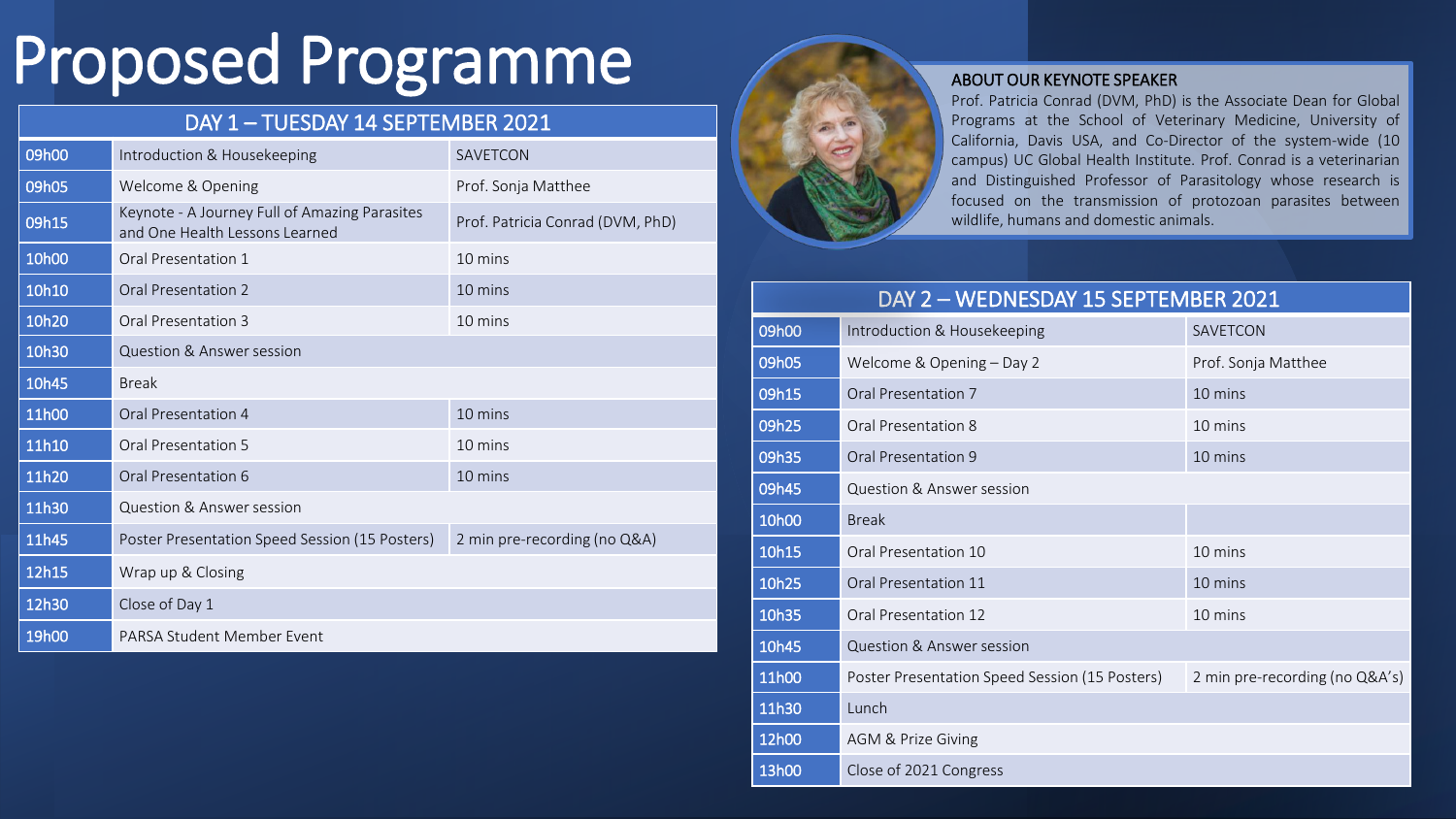# Proposed Programme

## DAY 1 – TUESDAY 14 SEPTEMBER 2021

| 09h00             | Introduction & Housekeeping                                                     | <b>SAVETCON</b>                  |
|-------------------|---------------------------------------------------------------------------------|----------------------------------|
| 09h05             | Welcome & Opening                                                               | Prof. Sonja Matthee              |
| 09h15             | Keynote - A Journey Full of Amazing Parasites<br>and One Health Lessons Learned | Prof. Patricia Conrad (DVM, PhD) |
| 10 <sub>h00</sub> | Oral Presentation 1                                                             | 10 mins                          |
| 10h10             | Oral Presentation 2                                                             | 10 mins                          |
| 10h20             | Oral Presentation 3                                                             | 10 mins                          |
| 10h30             | Question & Answer session                                                       |                                  |
| 10h45             | <b>Break</b>                                                                    |                                  |
| 11h00             | Oral Presentation 4                                                             | 10 mins                          |
| 11h10             | Oral Presentation 5                                                             | 10 mins                          |
| 11h20             | Oral Presentation 6                                                             | 10 mins                          |
| 11h30             | Question & Answer session                                                       |                                  |
| 11h45             | Poster Presentation Speed Session (15 Posters)                                  | 2 min pre-recording (no Q&A)     |
| 12h15             | Wrap up & Closing                                                               |                                  |
| 12h30             | Close of Day 1                                                                  |                                  |
| 19h00             | PARSA Student Member Event                                                      |                                  |



#### ABOUT OUR KEYNOTE SPEAKER

Prof. Patricia Conrad (DVM, PhD) is the Associate Dean for Global Programs at the School of Veterinary Medicine, University of California, Davis USA, and Co-Director of the system-wide (10 campus) UC Global Health Institute. Prof. Conrad is a veterinarian and Distinguished Professor of Parasitology whose research is focused on the transmission of protozoan parasites between wildlife, humans and domestic animals.

| DAY 2 - WEDNESDAY 15 SEPTEMBER 2021 |                                                |                                |  |
|-------------------------------------|------------------------------------------------|--------------------------------|--|
| 09h00                               | Introduction & Housekeeping                    | SAVETCON                       |  |
| 09h05                               | Welcome & Opening - Day 2                      | Prof. Sonja Matthee            |  |
| 09h15                               | Oral Presentation 7                            | 10 mins                        |  |
| 09h25                               | Oral Presentation 8                            | 10 mins                        |  |
| 09h35                               | Oral Presentation 9                            | 10 mins                        |  |
| 09h45                               | Question & Answer session                      |                                |  |
| 10h00                               | <b>Break</b>                                   |                                |  |
| 10h15                               | Oral Presentation 10                           | 10 mins                        |  |
| 10h25                               | Oral Presentation 11                           | 10 mins                        |  |
| 10h35                               | Oral Presentation 12                           | 10 mins                        |  |
| 10h45                               | <b>Question &amp; Answer session</b>           |                                |  |
| 11h00                               | Poster Presentation Speed Session (15 Posters) | 2 min pre-recording (no Q&A's) |  |
| 11h30                               | Lunch                                          |                                |  |
| 12h00                               | AGM & Prize Giving                             |                                |  |
| 13h00                               | Close of 2021 Congress                         |                                |  |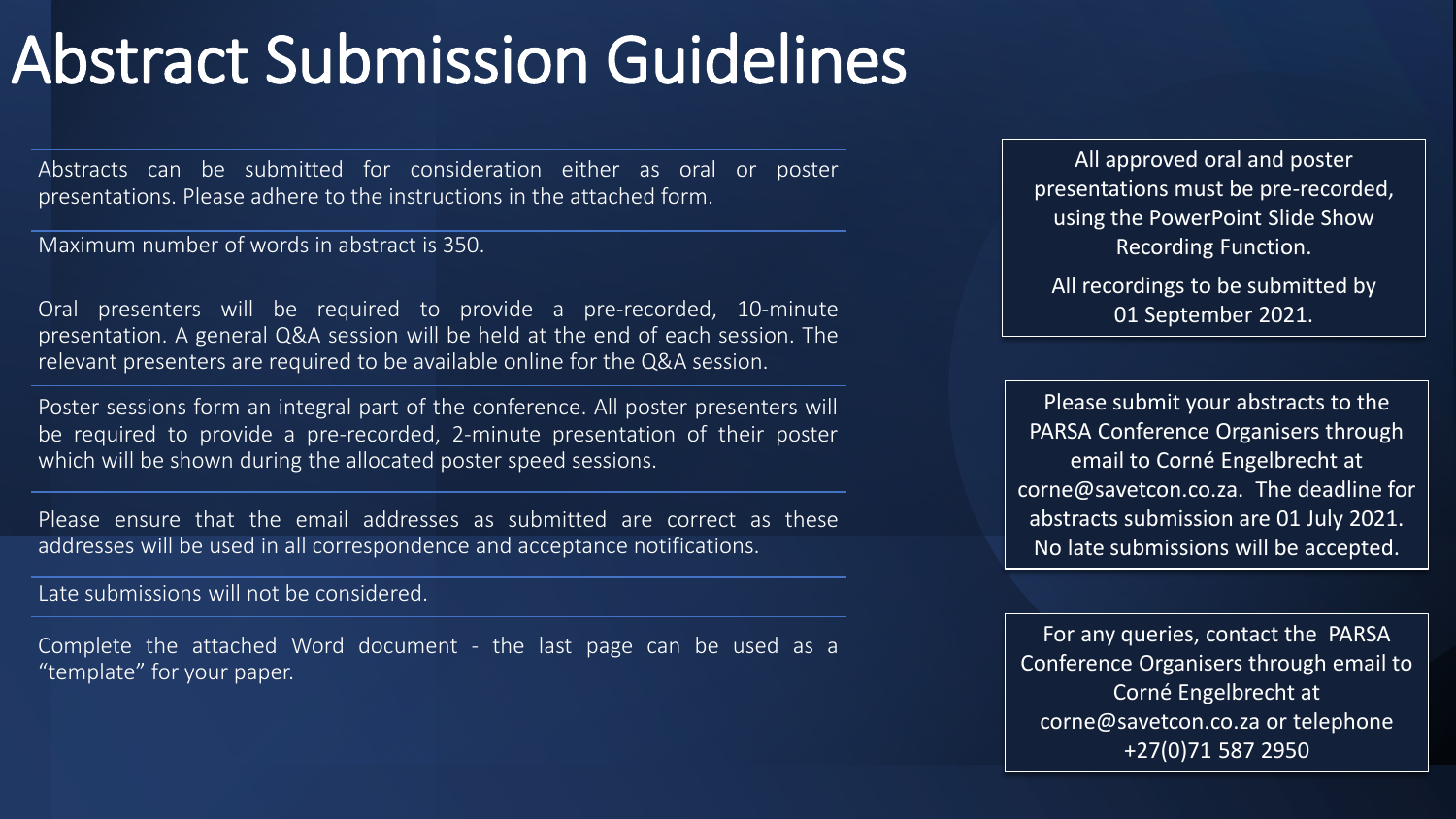## Abstract Submission Guidelines

Abstracts can be submitted for consideration either as oral or poster presentations. Please adhere to the instructions in the attached form.

Maximum number of words in abstract is 350.

Oral presenters will be required to provide a pre-recorded, 10-minute presentation. A general Q&A session will be held at the end of each session. The relevant presenters are required to be available online for the Q&A session.

Poster sessions form an integral part of the conference. All poster presenters will be required to provide a pre-recorded, 2-minute presentation of their poster which will be shown during the allocated poster speed sessions.

Please ensure that the email addresses as submitted are correct as these addresses will be used in all correspondence and acceptance notifications.

Late submissions will not be considered.

Complete the attached Word document - the last page can be used as a "template" for your paper.

All approved oral and poster presentations must be pre-recorded, using the PowerPoint Slide Show Recording Function.

All recordings to be submitted by 01 September 2021.

Please submit your abstracts to the PARSA Conference Organisers through email to Corné Engelbrecht at corne@savetcon.co.za. The deadline for abstracts submission are 01 July 2021. No late submissions will be accepted.

For any queries, contact the PARSA Conference Organisers through email to Corné Engelbrecht at corne@savetcon.co.za or telephone +27(0)71 587 2950